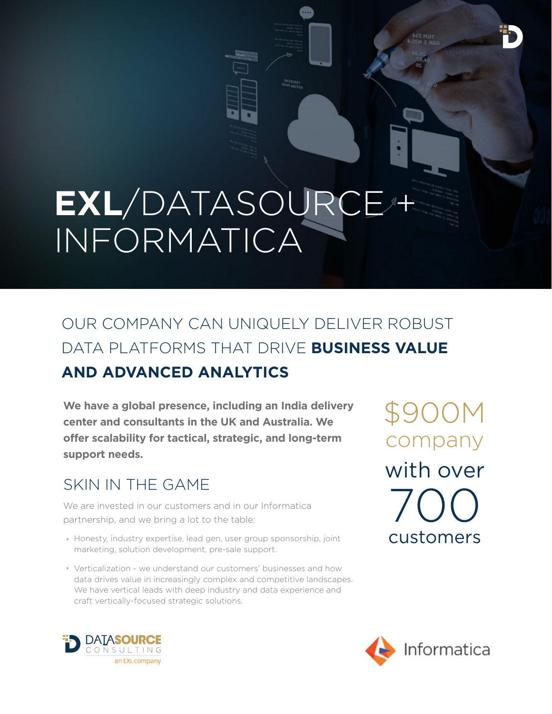# **EXL**/DATASOURCE + INFORMATICA

## OUR COMPANY CAN UNIQUELY DELIVER ROBUST DATA PLATFORMS THAT DRIVE **BUSINESS VALUE AND ADVANCED ANALYTICS**

**We have a global presence, including an India delivery center and consultants in the UK and Australia. We offer scalability for tactical, strategic, and long-term support needs.**

#### SKIN IN THE GAME

We are invested in our customers and in our Informatica partnership, and we bring a lot to the table:

- Honesty, industry expertise, lead gen, user group sponsorship, joint  $\text{CUSLOMers}$ marketing, solution development, pre-sale support.
- Verticalization we understand our customers' businesses and how data drives value in increasingly complex and competitive landscapes. We have vertical leads with deep industry and data experience and craft vertically-focused strategic solutions.

\$900M company with over 700